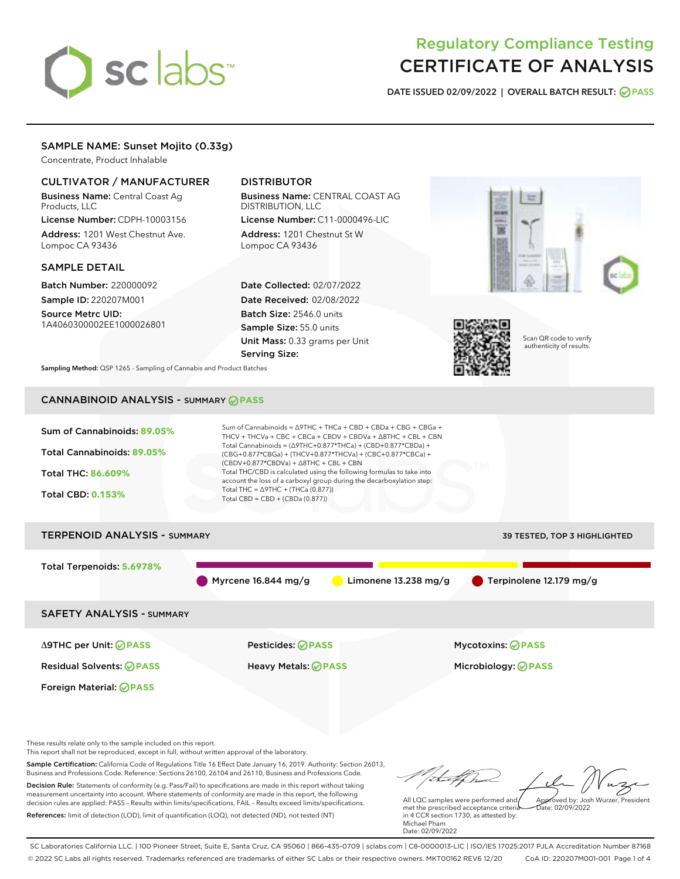# sclabs<sup>\*</sup>

# Regulatory Compliance Testing CERTIFICATE OF ANALYSIS

DATE ISSUED 02/09/2022 | OVERALL BATCH RESULT: @ PASS

# SAMPLE NAME: Sunset Mojito (0.33g)

Concentrate, Product Inhalable

# CULTIVATOR / MANUFACTURER

Business Name: Central Coast Ag Products, LLC License Number: CDPH-10003156

Address: 1201 West Chestnut Ave. Lompoc CA 93436

#### SAMPLE DETAIL

Batch Number: 220000092 Sample ID: 220207M001

Source Metrc UID: 1A4060300002EE1000026801

# DISTRIBUTOR

Business Name: CENTRAL COAST AG DISTRIBUTION, LLC License Number: C11-0000496-LIC

Address: 1201 Chestnut St W Lompoc CA 93436

Date Collected: 02/07/2022 Date Received: 02/08/2022 Batch Size: 2546.0 units Sample Size: 55.0 units Unit Mass: 0.33 grams per Unit Serving Size:





Scan QR code to verify authenticity of results.

Sampling Method: QSP 1265 - Sampling of Cannabis and Product Batches

# CANNABINOID ANALYSIS - SUMMARY **PASS**

| Sum of Cannabinoids: 89.05%<br>Total Cannabinoids: 89.05%<br>Total THC: 86,609%<br><b>Total CBD: 0.153%</b> | Sum of Cannabinoids = $\triangle$ 9THC + THCa + CBD + CBDa + CBG + CBGa +<br>THCV + THCVa + CBC + CBCa + CBDV + CBDVa + $\Delta$ 8THC + CBL + CBN<br>Total Cannabinoids = $(\Delta$ 9THC+0.877*THCa) + (CBD+0.877*CBDa) +<br>(CBG+0.877*CBGa) + (THCV+0.877*THCVa) + (CBC+0.877*CBCa) +<br>$(CBDV+0.877*CBDVa) + \Delta 8THC + CBL + CBN$<br>Total THC/CBD is calculated using the following formulas to take into<br>account the loss of a carboxyl group during the decarboxylation step:<br>Total THC = $\triangle$ 9THC + (THCa (0.877))<br>Total CBD = $CBD + (CBDa (0.877))$ |                                     |
|-------------------------------------------------------------------------------------------------------------|------------------------------------------------------------------------------------------------------------------------------------------------------------------------------------------------------------------------------------------------------------------------------------------------------------------------------------------------------------------------------------------------------------------------------------------------------------------------------------------------------------------------------------------------------------------------------------|-------------------------------------|
| <b>TERPENOID ANALYSIS - SUMMARY</b>                                                                         |                                                                                                                                                                                                                                                                                                                                                                                                                                                                                                                                                                                    | <b>39 TESTED, TOP 3 HIGHLIGHTED</b> |
| Total Terpenoids: 5.6978%                                                                                   | Myrcene $16.844$ mg/g<br>Limonene $13.238$ mg/g                                                                                                                                                                                                                                                                                                                                                                                                                                                                                                                                    | Terpinolene 12.179 mg/g             |
| <b>SAFETY ANALYSIS - SUMMARY</b>                                                                            |                                                                                                                                                                                                                                                                                                                                                                                                                                                                                                                                                                                    |                                     |
| ∆9THC per Unit: ⊘PASS                                                                                       | Pesticides: ⊘PASS                                                                                                                                                                                                                                                                                                                                                                                                                                                                                                                                                                  | <b>Mycotoxins: ⊘PASS</b>            |
| <b>Residual Solvents: ⊘PASS</b>                                                                             | Heavy Metals: <b>OPASS</b>                                                                                                                                                                                                                                                                                                                                                                                                                                                                                                                                                         | Microbiology: <b>⊘</b> PASS         |
| Foreign Material: <b>⊘ PASS</b>                                                                             |                                                                                                                                                                                                                                                                                                                                                                                                                                                                                                                                                                                    |                                     |

These results relate only to the sample included on this report.

This report shall not be reproduced, except in full, without written approval of the laboratory.

Sample Certification: California Code of Regulations Title 16 Effect Date January 16, 2019. Authority: Section 26013, Business and Professions Code. Reference: Sections 26100, 26104 and 26110, Business and Professions Code. Decision Rule: Statements of conformity (e.g. Pass/Fail) to specifications are made in this report without taking

measurement uncertainty into account. Where statements of conformity are made in this report, the following decision rules are applied: PASS – Results within limits/specifications, FAIL – Results exceed limits/specifications. References: limit of detection (LOD), limit of quantification (LOQ), not detected (ND), not tested (NT)

Approved by: Josh Wurzer, President

 $\frac{1}{2}$ ate: 02/09/2022

All LQC samples were performed and met the prescribed acceptance criteria in 4 CCR section 1730, as attested by: Michael Pham Date: 02/09/2022

SC Laboratories California LLC. | 100 Pioneer Street, Suite E, Santa Cruz, CA 95060 | 866-435-0709 | sclabs.com | C8-0000013-LIC | ISO/IES 17025:2017 PJLA Accreditation Number 87168 © 2022 SC Labs all rights reserved. Trademarks referenced are trademarks of either SC Labs or their respective owners. MKT00162 REV6 12/20 CoA ID: 220207M001-001 Page 1 of 4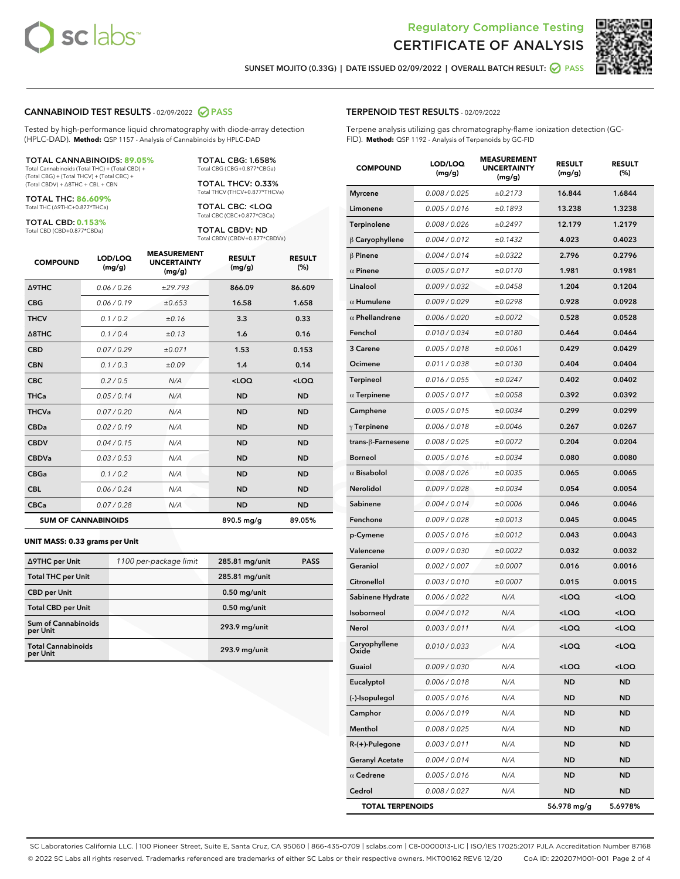



SUNSET MOJITO (0.33G) | DATE ISSUED 02/09/2022 | OVERALL BATCH RESULT: **O PASS** 

#### CANNABINOID TEST RESULTS - 02/09/2022 2 PASS

Tested by high-performance liquid chromatography with diode-array detection (HPLC-DAD). **Method:** QSP 1157 - Analysis of Cannabinoids by HPLC-DAD

#### TOTAL CANNABINOIDS: **89.05%**

Total Cannabinoids (Total THC) + (Total CBD) + (Total CBG) + (Total THCV) + (Total CBC) + (Total CBDV) + ∆8THC + CBL + CBN

TOTAL THC: **86.609%** Total THC (∆9THC+0.877\*THCa)

TOTAL CBD: **0.153%**

Total CBD (CBD+0.877\*CBDa)

TOTAL CBG: 1.658% Total CBG (CBG+0.877\*CBGa)

TOTAL THCV: 0.33% Total THCV (THCV+0.877\*THCVa)

TOTAL CBC: <LOQ Total CBC (CBC+0.877\*CBCa)

TOTAL CBDV: ND Total CBDV (CBDV+0.877\*CBDVa)

| <b>COMPOUND</b>  | LOD/LOQ<br>(mg/g)          | <b>MEASUREMENT</b><br><b>UNCERTAINTY</b><br>(mg/g) | <b>RESULT</b><br>(mg/g) | <b>RESULT</b><br>(%) |
|------------------|----------------------------|----------------------------------------------------|-------------------------|----------------------|
| <b>A9THC</b>     | 0.06 / 0.26                | ±29.793                                            | 866.09                  | 86.609               |
| <b>CBG</b>       | 0.06 / 0.19                | ±0.653                                             | 16.58                   | 1.658                |
| <b>THCV</b>      | 0.1 / 0.2                  | ±0.16                                              | 3.3                     | 0.33                 |
| $\triangle$ 8THC | 0.1/0.4                    | ±0.13                                              | 1.6                     | 0.16                 |
| <b>CBD</b>       | 0.07/0.29                  | ±0.071                                             | 1.53                    | 0.153                |
| <b>CBN</b>       | 0.1 / 0.3                  | ±0.09                                              | 1.4                     | 0.14                 |
| <b>CBC</b>       | 0.2 / 0.5                  | N/A                                                | $<$ LOQ                 | $<$ LOQ              |
| <b>THCa</b>      | 0.05/0.14                  | N/A                                                | <b>ND</b>               | <b>ND</b>            |
| <b>THCVa</b>     | 0.07/0.20                  | N/A                                                | <b>ND</b>               | <b>ND</b>            |
| <b>CBDa</b>      | 0.02/0.19                  | N/A                                                | <b>ND</b>               | <b>ND</b>            |
| <b>CBDV</b>      | 0.04 / 0.15                | N/A                                                | <b>ND</b>               | <b>ND</b>            |
| <b>CBDVa</b>     | 0.03 / 0.53                | N/A                                                | <b>ND</b>               | <b>ND</b>            |
| <b>CBGa</b>      | 0.1 / 0.2                  | N/A                                                | <b>ND</b>               | <b>ND</b>            |
| <b>CBL</b>       | 0.06 / 0.24                | N/A                                                | <b>ND</b>               | <b>ND</b>            |
| <b>CBCa</b>      | 0.07/0.28                  | N/A                                                | <b>ND</b>               | <b>ND</b>            |
|                  | <b>SUM OF CANNABINOIDS</b> |                                                    | 890.5 mg/g              | 89.05%               |

#### **UNIT MASS: 0.33 grams per Unit**

| ∆9THC per Unit                         | 1100 per-package limit | 285.81 mg/unit | <b>PASS</b> |
|----------------------------------------|------------------------|----------------|-------------|
| <b>Total THC per Unit</b>              |                        | 285.81 mg/unit |             |
| <b>CBD per Unit</b>                    |                        | $0.50$ mg/unit |             |
| <b>Total CBD per Unit</b>              |                        | $0.50$ mg/unit |             |
| <b>Sum of Cannabinoids</b><br>per Unit |                        | 293.9 mg/unit  |             |
| <b>Total Cannabinoids</b><br>per Unit  |                        | 293.9 mg/unit  |             |

#### TERPENOID TEST RESULTS - 02/09/2022

Terpene analysis utilizing gas chromatography-flame ionization detection (GC-FID). **Method:** QSP 1192 - Analysis of Terpenoids by GC-FID

| <b>COMPOUND</b>         | LOD/LOQ<br>(mg/g) | <b>MEASUREMENT</b><br><b>UNCERTAINTY</b><br>(mg/g) | <b>RESULT</b><br>(mg/g)                         | <b>RESULT</b><br>(%) |
|-------------------------|-------------------|----------------------------------------------------|-------------------------------------------------|----------------------|
| <b>Myrcene</b>          | 0.008 / 0.025     | ±0.2173                                            | 16.844                                          | 1.6844               |
| Limonene                | 0.005 / 0.016     | ±0.1893                                            | 13.238                                          | 1.3238               |
| Terpinolene             | 0.008 / 0.026     | ±0.2497                                            | 12.179                                          | 1.2179               |
| $\beta$ Caryophyllene   | 0.004 / 0.012     | ±0.1432                                            | 4.023                                           | 0.4023               |
| $\beta$ Pinene          | 0.004 / 0.014     | ±0.0322                                            | 2.796                                           | 0.2796               |
| $\alpha$ Pinene         | 0.005 / 0.017     | ±0.0170                                            | 1.981                                           | 0.1981               |
| Linalool                | 0.009 / 0.032     | ±0.0458                                            | 1.204                                           | 0.1204               |
| $\alpha$ Humulene       | 0.009/0.029       | ±0.0298                                            | 0.928                                           | 0.0928               |
| $\alpha$ Phellandrene   | 0.006 / 0.020     | ±0.0072                                            | 0.528                                           | 0.0528               |
| Fenchol                 | 0.010 / 0.034     | ±0.0180                                            | 0.464                                           | 0.0464               |
| 3 Carene                | 0.005 / 0.018     | ±0.0061                                            | 0.429                                           | 0.0429               |
| Ocimene                 | 0.011 / 0.038     | ±0.0130                                            | 0.404                                           | 0.0404               |
| Terpineol               | 0.016 / 0.055     | ±0.0247                                            | 0.402                                           | 0.0402               |
| $\alpha$ Terpinene      | 0.005 / 0.017     | ±0.0058                                            | 0.392                                           | 0.0392               |
| Camphene                | 0.005 / 0.015     | ±0.0034                                            | 0.299                                           | 0.0299               |
| $\gamma$ Terpinene      | 0.006 / 0.018     | ±0.0046                                            | 0.267                                           | 0.0267               |
| trans-ß-Farnesene       | 0.008 / 0.025     | ±0.0072                                            | 0.204                                           | 0.0204               |
| <b>Borneol</b>          | 0.005 / 0.016     | ±0.0034                                            | 0.080                                           | 0.0080               |
| $\alpha$ Bisabolol      | 0.008 / 0.026     | ±0.0035                                            | 0.065                                           | 0.0065               |
| Nerolidol               | 0.009 / 0.028     | ±0.0034                                            | 0.054                                           | 0.0054               |
| Sabinene                | 0.004 / 0.014     | ±0.0006                                            | 0.046                                           | 0.0046               |
| Fenchone                | 0.009 / 0.028     | ±0.0013                                            | 0.045                                           | 0.0045               |
| p-Cymene                | 0.005 / 0.016     | ±0.0012                                            | 0.043                                           | 0.0043               |
| Valencene               | 0.009 / 0.030     | ±0.0022                                            | 0.032                                           | 0.0032               |
| Geraniol                | 0.002 / 0.007     | ±0.0007                                            | 0.016                                           | 0.0016               |
| Citronellol             | 0.003 / 0.010     | ±0.0007                                            | 0.015                                           | 0.0015               |
| Sabinene Hydrate        | 0.006 / 0.022     | N/A                                                | <loq< th=""><th><loq< th=""></loq<></th></loq<> | <loq< th=""></loq<>  |
| Isoborneol              | 0.004 / 0.012     | N/A                                                | <loq< th=""><th><loq< th=""></loq<></th></loq<> | <loq< th=""></loq<>  |
| Nerol                   | 0.003 / 0.011     | N/A                                                | <loq< th=""><th><loq< th=""></loq<></th></loq<> | <loq< th=""></loq<>  |
| Caryophyllene<br>Oxide  | 0.010 / 0.033     | N/A                                                | <loq< th=""><th><loq< th=""></loq<></th></loq<> | <loq< th=""></loq<>  |
| Guaiol                  | 0.009 / 0.030     | N/A                                                | <loq< th=""><th><loq< th=""></loq<></th></loq<> | <loq< th=""></loq<>  |
| Eucalyptol              | 0.006 / 0.018     | N/A                                                | ND                                              | <b>ND</b>            |
| (-)-Isopulegol          | 0.005 / 0.016     | N/A                                                | <b>ND</b>                                       | <b>ND</b>            |
| Camphor                 | 0.006 / 0.019     | N/A                                                | ND                                              | <b>ND</b>            |
| Menthol                 | 0.008 / 0.025     | N/A                                                | ND                                              | ND                   |
| $R-(+)$ -Pulegone       | 0.003 / 0.011     | N/A                                                | <b>ND</b>                                       | <b>ND</b>            |
| <b>Geranyl Acetate</b>  | 0.004 / 0.014     | N/A                                                | ND                                              | ND                   |
| $\alpha$ Cedrene        | 0.005 / 0.016     | N/A                                                | ND                                              | <b>ND</b>            |
| Cedrol                  | 0.008 / 0.027     | N/A                                                | <b>ND</b>                                       | <b>ND</b>            |
| <b>TOTAL TERPENOIDS</b> |                   |                                                    | 56.978 mg/g                                     | 5.6978%              |

SC Laboratories California LLC. | 100 Pioneer Street, Suite E, Santa Cruz, CA 95060 | 866-435-0709 | sclabs.com | C8-0000013-LIC | ISO/IES 17025:2017 PJLA Accreditation Number 87168 © 2022 SC Labs all rights reserved. Trademarks referenced are trademarks of either SC Labs or their respective owners. MKT00162 REV6 12/20 CoA ID: 220207M001-001 Page 2 of 4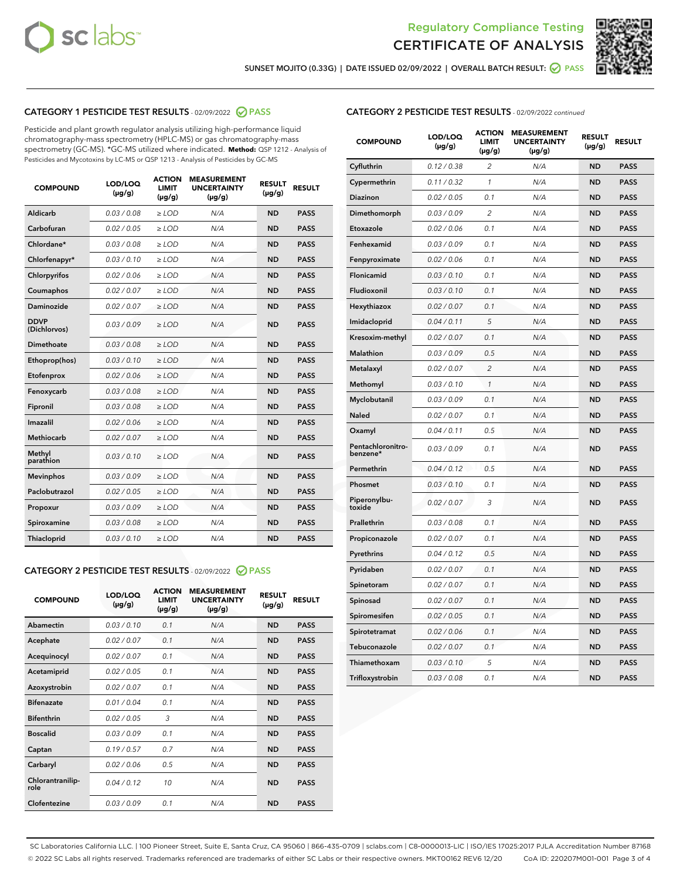



SUNSET MOJITO (0.33G) | DATE ISSUED 02/09/2022 | OVERALL BATCH RESULT: @ PASS

### CATEGORY 1 PESTICIDE TEST RESULTS - 02/09/2022 2 PASS

Pesticide and plant growth regulator analysis utilizing high-performance liquid chromatography-mass spectrometry (HPLC-MS) or gas chromatography-mass spectrometry (GC-MS). \*GC-MS utilized where indicated. **Method:** QSP 1212 - Analysis of Pesticides and Mycotoxins by LC-MS or QSP 1213 - Analysis of Pesticides by GC-MS

| <b>COMPOUND</b>             | LOD/LOQ<br>$(\mu g/g)$ | <b>ACTION</b><br><b>LIMIT</b><br>$(\mu g/g)$ | <b>MEASUREMENT</b><br><b>UNCERTAINTY</b><br>$(\mu g/g)$ | <b>RESULT</b><br>$(\mu g/g)$ | <b>RESULT</b> |
|-----------------------------|------------------------|----------------------------------------------|---------------------------------------------------------|------------------------------|---------------|
| Aldicarb                    | 0.03/0.08              | $>$ LOD                                      | N/A                                                     | <b>ND</b>                    | <b>PASS</b>   |
| Carbofuran                  | 0.02 / 0.05            | $\ge$ LOD                                    | N/A                                                     | <b>ND</b>                    | <b>PASS</b>   |
| Chlordane*                  | 0.03 / 0.08            | $\ge$ LOD                                    | N/A                                                     | <b>ND</b>                    | <b>PASS</b>   |
| Chlorfenapyr*               | 0.03/0.10              | $\ge$ LOD                                    | N/A                                                     | <b>ND</b>                    | <b>PASS</b>   |
| Chlorpyrifos                | 0.02 / 0.06            | $\ge$ LOD                                    | N/A                                                     | <b>ND</b>                    | <b>PASS</b>   |
| Coumaphos                   | 0.02 / 0.07            | $\ge$ LOD                                    | N/A                                                     | <b>ND</b>                    | <b>PASS</b>   |
| Daminozide                  | 0.02/0.07              | $>$ LOD                                      | N/A                                                     | <b>ND</b>                    | <b>PASS</b>   |
| <b>DDVP</b><br>(Dichlorvos) | 0.03/0.09              | $\ge$ LOD                                    | N/A                                                     | <b>ND</b>                    | <b>PASS</b>   |
| <b>Dimethoate</b>           | 0.03/0.08              | $\ge$ LOD                                    | N/A                                                     | <b>ND</b>                    | <b>PASS</b>   |
| Ethoprop(hos)               | 0.03/0.10              | $\ge$ LOD                                    | N/A                                                     | <b>ND</b>                    | <b>PASS</b>   |
| Etofenprox                  | 0.02 / 0.06            | $\ge$ LOD                                    | N/A                                                     | <b>ND</b>                    | <b>PASS</b>   |
| Fenoxycarb                  | 0.03/0.08              | $\ge$ LOD                                    | N/A                                                     | <b>ND</b>                    | <b>PASS</b>   |
| Fipronil                    | 0.03/0.08              | $\ge$ LOD                                    | N/A                                                     | <b>ND</b>                    | <b>PASS</b>   |
| Imazalil                    | 0.02 / 0.06            | $>$ LOD                                      | N/A                                                     | <b>ND</b>                    | <b>PASS</b>   |
| Methiocarb                  | 0.02 / 0.07            | $>$ LOD                                      | N/A                                                     | <b>ND</b>                    | <b>PASS</b>   |
| Methyl<br>parathion         | 0.03/0.10              | $>$ LOD                                      | N/A                                                     | <b>ND</b>                    | <b>PASS</b>   |
| <b>Mevinphos</b>            | 0.03/0.09              | $\ge$ LOD                                    | N/A                                                     | <b>ND</b>                    | <b>PASS</b>   |
| Paclobutrazol               | 0.02 / 0.05            | $>$ LOD                                      | N/A                                                     | <b>ND</b>                    | <b>PASS</b>   |
| Propoxur                    | 0.03/0.09              | $\ge$ LOD                                    | N/A                                                     | <b>ND</b>                    | <b>PASS</b>   |
| Spiroxamine                 | 0.03 / 0.08            | $\ge$ LOD                                    | N/A                                                     | <b>ND</b>                    | <b>PASS</b>   |
| Thiacloprid                 | 0.03/0.10              | $\ge$ LOD                                    | N/A                                                     | <b>ND</b>                    | <b>PASS</b>   |

#### CATEGORY 2 PESTICIDE TEST RESULTS - 02/09/2022 2 PASS

| <b>COMPOUND</b>          | LOD/LOQ<br>$(\mu g/g)$ | <b>ACTION</b><br>LIMIT<br>$(\mu g/g)$ | <b>MEASUREMENT</b><br><b>UNCERTAINTY</b><br>$(\mu g/g)$ | <b>RESULT</b><br>$(\mu g/g)$ | <b>RESULT</b> |
|--------------------------|------------------------|---------------------------------------|---------------------------------------------------------|------------------------------|---------------|
| Abamectin                | 0.03/0.10              | 0.1                                   | N/A                                                     | <b>ND</b>                    | <b>PASS</b>   |
| Acephate                 | 0.02/0.07              | 0.1                                   | N/A                                                     | <b>ND</b>                    | <b>PASS</b>   |
| Acequinocyl              | 0.02/0.07              | 0.1                                   | N/A                                                     | <b>ND</b>                    | <b>PASS</b>   |
| Acetamiprid              | 0.02/0.05              | 0.1                                   | N/A                                                     | <b>ND</b>                    | <b>PASS</b>   |
| Azoxystrobin             | 0.02/0.07              | 0.1                                   | N/A                                                     | <b>ND</b>                    | <b>PASS</b>   |
| <b>Bifenazate</b>        | 0.01/0.04              | 0.1                                   | N/A                                                     | <b>ND</b>                    | <b>PASS</b>   |
| <b>Bifenthrin</b>        | 0.02/0.05              | 3                                     | N/A                                                     | <b>ND</b>                    | <b>PASS</b>   |
| <b>Boscalid</b>          | 0.03/0.09              | 0.1                                   | N/A                                                     | <b>ND</b>                    | <b>PASS</b>   |
| Captan                   | 0.19/0.57              | 0.7                                   | N/A                                                     | <b>ND</b>                    | <b>PASS</b>   |
| Carbaryl                 | 0.02/0.06              | 0.5                                   | N/A                                                     | <b>ND</b>                    | <b>PASS</b>   |
| Chlorantranilip-<br>role | 0.04/0.12              | 10                                    | N/A                                                     | <b>ND</b>                    | <b>PASS</b>   |
| Clofentezine             | 0.03/0.09              | 0.1                                   | N/A                                                     | <b>ND</b>                    | <b>PASS</b>   |

#### CATEGORY 2 PESTICIDE TEST RESULTS - 02/09/2022 continued

| <b>COMPOUND</b>               | LOD/LOQ<br>(µg/g) | <b>ACTION</b><br><b>LIMIT</b><br>$(\mu g/g)$ | <b>MEASUREMENT</b><br><b>UNCERTAINTY</b><br>$(\mu g/g)$ | <b>RESULT</b><br>(µg/g) | <b>RESULT</b> |
|-------------------------------|-------------------|----------------------------------------------|---------------------------------------------------------|-------------------------|---------------|
| Cyfluthrin                    | 0.12 / 0.38       | $\overline{c}$                               | N/A                                                     | <b>ND</b>               | <b>PASS</b>   |
| Cypermethrin                  | 0.11 / 0.32       | 1                                            | N/A                                                     | <b>ND</b>               | <b>PASS</b>   |
| Diazinon                      | 0.02 / 0.05       | 0.1                                          | N/A                                                     | <b>ND</b>               | <b>PASS</b>   |
| Dimethomorph                  | 0.03 / 0.09       | 2                                            | N/A                                                     | <b>ND</b>               | <b>PASS</b>   |
| Etoxazole                     | 0.02 / 0.06       | 0.1                                          | N/A                                                     | <b>ND</b>               | <b>PASS</b>   |
| Fenhexamid                    | 0.03 / 0.09       | 0.1                                          | N/A                                                     | <b>ND</b>               | <b>PASS</b>   |
| Fenpyroximate                 | 0.02 / 0.06       | 0.1                                          | N/A                                                     | <b>ND</b>               | <b>PASS</b>   |
| <b>Flonicamid</b>             | 0.03 / 0.10       | 0.1                                          | N/A                                                     | <b>ND</b>               | <b>PASS</b>   |
| Fludioxonil                   | 0.03 / 0.10       | 0.1                                          | N/A                                                     | <b>ND</b>               | <b>PASS</b>   |
| Hexythiazox                   | 0.02 / 0.07       | 0.1                                          | N/A                                                     | <b>ND</b>               | <b>PASS</b>   |
| Imidacloprid                  | 0.04 / 0.11       | 5                                            | N/A                                                     | <b>ND</b>               | <b>PASS</b>   |
| Kresoxim-methyl               | 0.02 / 0.07       | 0.1                                          | N/A                                                     | <b>ND</b>               | <b>PASS</b>   |
| <b>Malathion</b>              | 0.03 / 0.09       | 0.5                                          | N/A                                                     | <b>ND</b>               | <b>PASS</b>   |
| Metalaxyl                     | 0.02 / 0.07       | $\overline{2}$                               | N/A                                                     | <b>ND</b>               | <b>PASS</b>   |
| Methomyl                      | 0.03 / 0.10       | $\mathcal{I}$                                | N/A                                                     | <b>ND</b>               | <b>PASS</b>   |
| Myclobutanil                  | 0.03 / 0.09       | 0.1                                          | N/A                                                     | <b>ND</b>               | <b>PASS</b>   |
| Naled                         | 0.02 / 0.07       | 0.1                                          | N/A                                                     | <b>ND</b>               | <b>PASS</b>   |
| Oxamyl                        | 0.04 / 0.11       | 0.5                                          | N/A                                                     | <b>ND</b>               | <b>PASS</b>   |
| Pentachloronitro-<br>benzene* | 0.03 / 0.09       | 0.1                                          | N/A                                                     | <b>ND</b>               | <b>PASS</b>   |
| Permethrin                    | 0.04 / 0.12       | 0.5                                          | N/A                                                     | <b>ND</b>               | <b>PASS</b>   |
| Phosmet                       | 0.03 / 0.10       | 0.1                                          | N/A                                                     | <b>ND</b>               | <b>PASS</b>   |
| Piperonylbu-<br>toxide        | 0.02 / 0.07       | 3                                            | N/A                                                     | <b>ND</b>               | <b>PASS</b>   |
| Prallethrin                   | 0.03 / 0.08       | 0.1                                          | N/A                                                     | <b>ND</b>               | <b>PASS</b>   |
| Propiconazole                 | 0.02 / 0.07       | 0.1                                          | N/A                                                     | <b>ND</b>               | <b>PASS</b>   |
| Pyrethrins                    | 0.04 / 0.12       | 0.5                                          | N/A                                                     | <b>ND</b>               | <b>PASS</b>   |
| Pyridaben                     | 0.02 / 0.07       | 0.1                                          | N/A                                                     | <b>ND</b>               | <b>PASS</b>   |
| Spinetoram                    | 0.02 / 0.07       | 0.1                                          | N/A                                                     | <b>ND</b>               | <b>PASS</b>   |
| Spinosad                      | 0.02 / 0.07       | 0.1                                          | N/A                                                     | <b>ND</b>               | <b>PASS</b>   |
| Spiromesifen                  | 0.02 / 0.05       | 0.1                                          | N/A                                                     | <b>ND</b>               | <b>PASS</b>   |
| Spirotetramat                 | 0.02 / 0.06       | 0.1                                          | N/A                                                     | <b>ND</b>               | <b>PASS</b>   |
| Tebuconazole                  | 0.02 / 0.07       | 0.1                                          | N/A                                                     | <b>ND</b>               | <b>PASS</b>   |
| Thiamethoxam                  | 0.03 / 0.10       | 5                                            | N/A                                                     | <b>ND</b>               | <b>PASS</b>   |
| Trifloxystrobin               | 0.03 / 0.08       | 0.1                                          | N/A                                                     | <b>ND</b>               | <b>PASS</b>   |

SC Laboratories California LLC. | 100 Pioneer Street, Suite E, Santa Cruz, CA 95060 | 866-435-0709 | sclabs.com | C8-0000013-LIC | ISO/IES 17025:2017 PJLA Accreditation Number 87168 © 2022 SC Labs all rights reserved. Trademarks referenced are trademarks of either SC Labs or their respective owners. MKT00162 REV6 12/20 CoA ID: 220207M001-001 Page 3 of 4